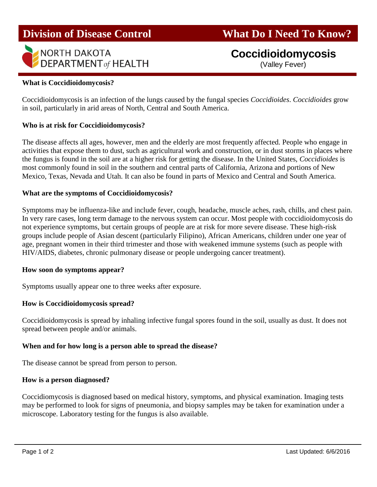# **Division of Disease Control What Do I Need To Know?**



# **Coccidioidomycosis**

(Valley Fever)

### **What is Coccidioidomycosis?**

Coccidioidomycosis is an infection of the lungs caused by the fungal species *Coccidioides*. *Coccidioides* grow in soil, particularly in arid areas of North, Central and South America.

#### **Who is at risk for Coccidioidomycosis?**

The disease affects all ages, however, men and the elderly are most frequently affected. People who engage in activities that expose them to dust, such as agricultural work and construction, or in dust storms in places where the fungus is found in the soil are at a higher risk for getting the disease. In the United States, *Coccidioides* is most commonly found in soil in the southern and central parts of California, Arizona and portions of New Mexico, Texas, Nevada and Utah. It can also be found in parts of Mexico and Central and South America.

### **What are the symptoms of Coccidioidomycosis?**

Symptoms may be influenza-like and include fever, cough, headache, muscle aches, rash, chills, and chest pain. In very rare cases, long term damage to the nervous system can occur. Most people with coccidioidomycosis do not experience symptoms, but certain groups of people are at risk for more severe disease. These high-risk groups include people of Asian descent (particularly Filipino), African Americans, children under one year of age, pregnant women in their third trimester and those with weakened immune systems (such as people with HIV/AIDS, diabetes, chronic pulmonary disease or people undergoing cancer treatment).

#### **How soon do symptoms appear?**

Symptoms usually appear one to three weeks after exposure.

#### **How is Coccidioidomycosis spread?**

Coccidioidomycosis is spread by inhaling infective fungal spores found in the soil, usually as dust. It does not spread between people and/or animals.

#### **When and for how long is a person able to spread the disease?**

The disease cannot be spread from person to person.

#### **How is a person diagnosed?**

Coccidiomycosis is diagnosed based on medical history, symptoms, and physical examination. Imaging tests may be performed to look for signs of pneumonia, and biopsy samples may be taken for examination under a microscope. Laboratory testing for the fungus is also available.